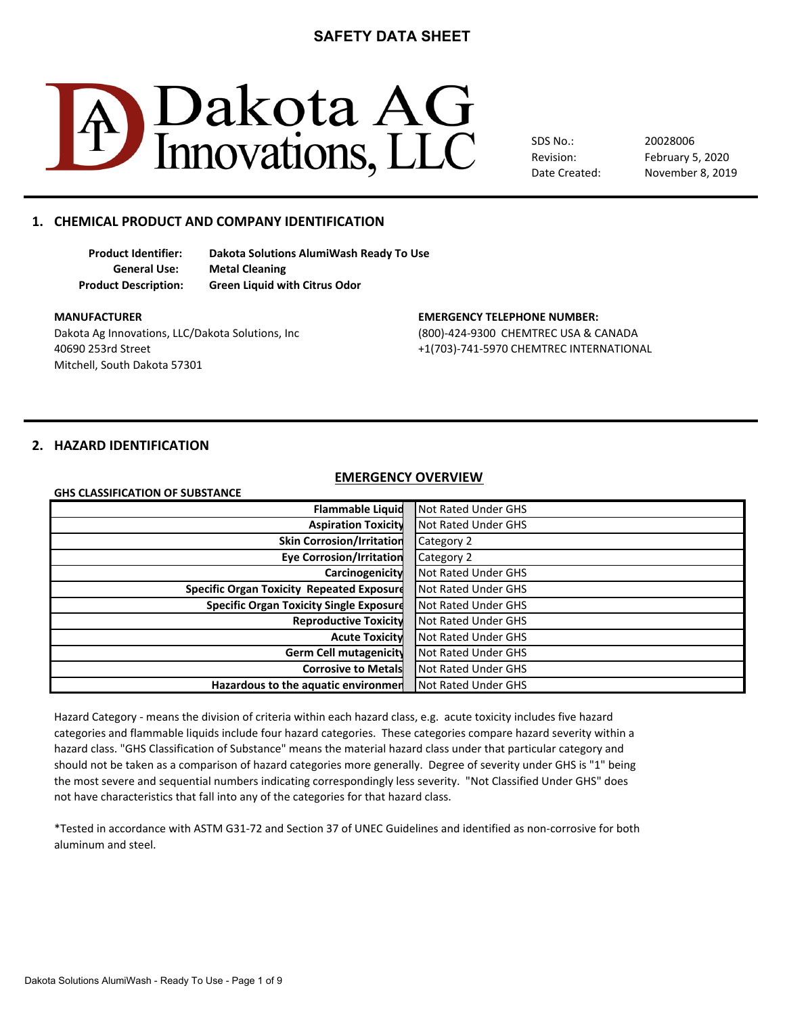

SDS No.: Revision: Date Created: February 5, 2020 20028006 November 8, 2019

# **1. CHEMICAL PRODUCT AND COMPANY IDENTIFICATION**

**Product Identifier: Dakota Solutions AlumiWash Ready To Use General Use: Metal Cleaning Product Description: Green Liquid with Citrus Odor**

Dakota Ag Innovations, LLC/Dakota Solutions, Inc (800)-424-9300 CHEMTREC USA & CANADA 40690 253rd Street +1(703)-741-5970 CHEMTREC INTERNATIONAL Mitchell, South Dakota 57301

#### **MANUFACTURER EMERGENCY TELEPHONE NUMBER:**

### **2. HAZARD IDENTIFICATION**

**GHS CLASSIFICATION OF SUBSTANCE**

#### **EMERGENCY OVERVIEW**

| <b>Flammable Liquid</b>                          | Not Rated Under GHS |
|--------------------------------------------------|---------------------|
| <b>Aspiration Toxicity</b>                       | Not Rated Under GHS |
| <b>Skin Corrosion/Irritation</b>                 | Category 2          |
| <b>Eye Corrosion/Irritation</b>                  | Category 2          |
| Carcinogenicity                                  | Not Rated Under GHS |
| <b>Specific Organ Toxicity Repeated Exposure</b> | Not Rated Under GHS |
| <b>Specific Organ Toxicity Single Exposure</b>   | Not Rated Under GHS |
| <b>Reproductive Toxicity</b>                     | Not Rated Under GHS |
| <b>Acute Toxicity</b>                            | Not Rated Under GHS |
| Germ Cell mutagenicity                           | Not Rated Under GHS |
| <b>Corrosive to Metals</b>                       | Not Rated Under GHS |
| Hazardous to the aquatic environmen              | Not Rated Under GHS |

Hazard Category - means the division of criteria within each hazard class, e.g. acute toxicity includes five hazard hazard class. "GHS Classification of Substance" means the material hazard class under that particular category and should not be taken as a comparison of hazard categories more generally. Degree of severity under GHS is "1" being not have characteristics that fall into any of the categories for that hazard class. categories and flammable liquids include four hazard categories. These categories compare hazard severity within a the most severe and sequential numbers indicating correspondingly less severity. "Not Classified Under GHS" does

\*Tested in accordance with ASTM G31-72 and Section 37 of UNEC Guidelines and identified as non-corrosive for both aluminum and steel.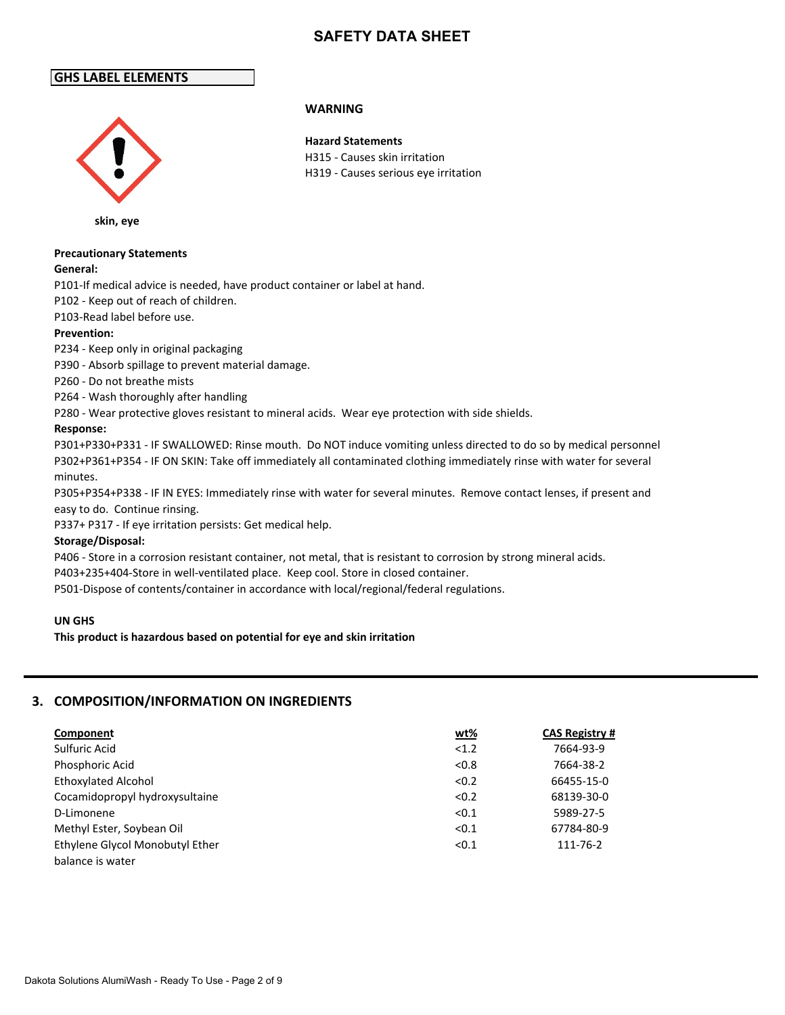# **GHS LABEL ELEMENTS**



**skin, eye**

# **Precautionary Statements**

### **General:**

P101-If medical advice is needed, have product container or label at hand.

P102 - Keep out of reach of children.

P103-Read label before use.

### **Prevention:**

P234 - Keep only in original packaging

P390 - Absorb spillage to prevent material damage.

P260 - Do not breathe mists

P264 - Wash thoroughly after handling

P280 - Wear protective gloves resistant to mineral acids. Wear eye protection with side shields.

### **Response:**

P301+P330+P331 - IF SWALLOWED: Rinse mouth. Do NOT induce vomiting unless directed to do so by medical personnel P302+P361+P354 - IF ON SKIN: Take off immediately all contaminated clothing immediately rinse with water for several minutes.

P305+P354+P338 - IF IN EYES: Immediately rinse with water for several minutes. Remove contact lenses, if present and easy to do. Continue rinsing.

P337+ P317 - If eye irritation persists: Get medical help.

### **Storage/Disposal:**

P406 - Store in a corrosion resistant container, not metal, that is resistant to corrosion by strong mineral acids.

P403+235+404-Store in well-ventilated place. Keep cool. Store in closed container.

P501-Dispose of contents/container in accordance with local/regional/federal regulations.

### **UN GHS**

**This product is hazardous based on potential for eye and skin irritation** 

### **3. COMPOSITION/INFORMATION ON INGREDIENTS**

| Component                       | <u>wt%</u> | <b>CAS Registry #</b> |
|---------------------------------|------------|-----------------------|
| Sulfuric Acid                   | < 1.2      | 7664-93-9             |
| Phosphoric Acid                 | < 0.8      | 7664-38-2             |
| <b>Ethoxylated Alcohol</b>      | < 0.2      | 66455-15-0            |
| Cocamidopropyl hydroxysultaine  | < 0.2      | 68139-30-0            |
| D-Limonene                      | < 0.1      | 5989-27-5             |
| Methyl Ester, Soybean Oil       | < 0.1      | 67784-80-9            |
| Ethylene Glycol Monobutyl Ether | < 0.1      | 111-76-2              |
| balance is water                |            |                       |

### **WARNING**

**Hazard Statements** H315 - Causes skin irritation H319 - Causes serious eye irritation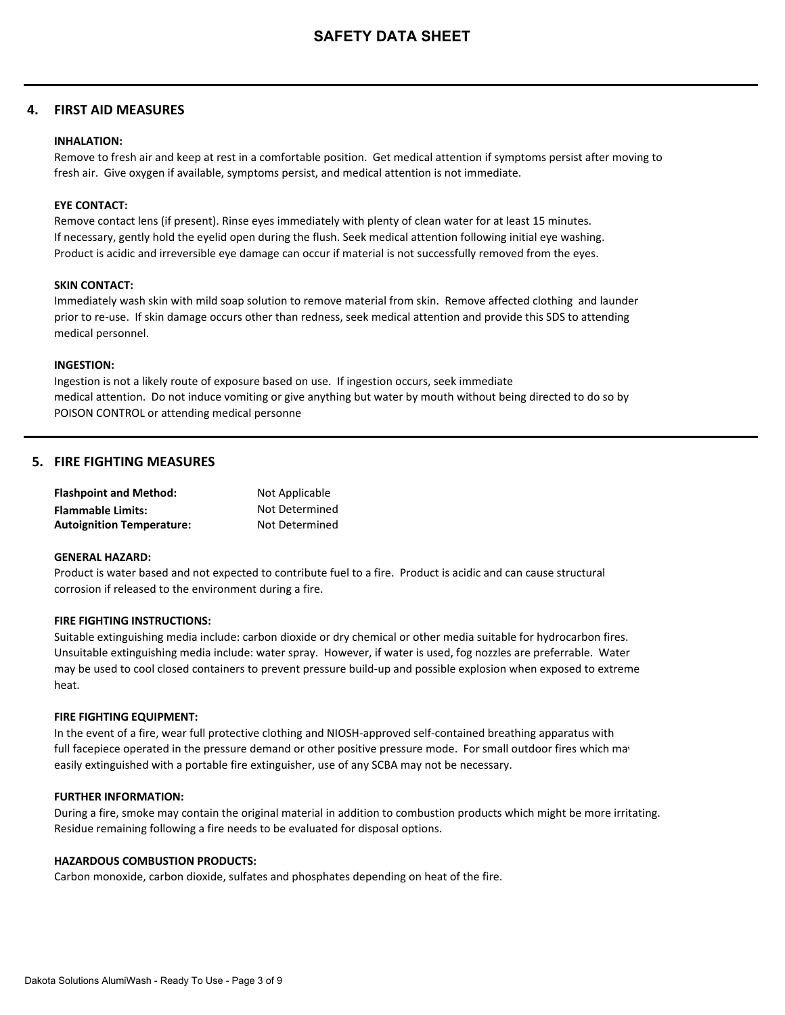### **4. FIRST AID MEASURES**

#### **INHALATION:**

Remove to fresh air and keep at rest in a comfortable position. Get medical attention if symptoms persist after moving to fresh air. Give oxygen if available, symptoms persist, and medical attention is not immediate.

#### **EYE CONTACT:**

Remove contact lens (if present). Rinse eyes immediately with plenty of clean water for at least 15 minutes. If necessary, gently hold the eyelid open during the flush. Seek medical attention following initial eye washing. Product is acidic and irreversible eye damage can occur if material is not successfully removed from the eyes.

#### **SKIN CONTACT:**

Immediately wash skin with mild soap solution to remove material from skin. Remove affected clothing and launder prior to re-use. If skin damage occurs other than redness, seek medical attention and provide this SDS to attending medical personnel.

#### **INGESTION:**

Ingestion is not a likely route of exposure based on use. If ingestion occurs, seek immediate medical attention. Do not induce vomiting or give anything but water by mouth without being directed to do so by POISON CONTROL or attending medical personne

### **5. FIRE FIGHTING MEASURES**

| <b>Flashpoint and Method:</b>    | Not Applicable |
|----------------------------------|----------------|
| <b>Flammable Limits:</b>         | Not Determined |
| <b>Autoignition Temperature:</b> | Not Determined |

#### **GENERAL HAZARD:**

Product is water based and not expected to contribute fuel to a fire. Product is acidic and can cause structural corrosion if released to the environment during a fire.

#### **FIRE FIGHTING INSTRUCTIONS:**

Suitable extinguishing media include: carbon dioxide or dry chemical or other media suitable for hydrocarbon fires. Unsuitable extinguishing media include: water spray. However, if water is used, fog nozzles are preferrable. Water may be used to cool closed containers to prevent pressure build-up and possible explosion when exposed to extreme heat.

#### **FIRE FIGHTING EQUIPMENT:**

In the event of a fire, wear full protective clothing and NIOSH-approved self-contained breathing apparatus with full facepiece operated in the pressure demand or other positive pressure mode. For small outdoor fires which may easily extinguished with a portable fire extinguisher, use of any SCBA may not be necessary.

### **FURTHER INFORMATION:**

During a fire, smoke may contain the original material in addition to combustion products which might be more irritating. Residue remaining following a fire needs to be evaluated for disposal options.

#### **HAZARDOUS COMBUSTION PRODUCTS:**

Carbon monoxide, carbon dioxide, sulfates and phosphates depending on heat of the fire.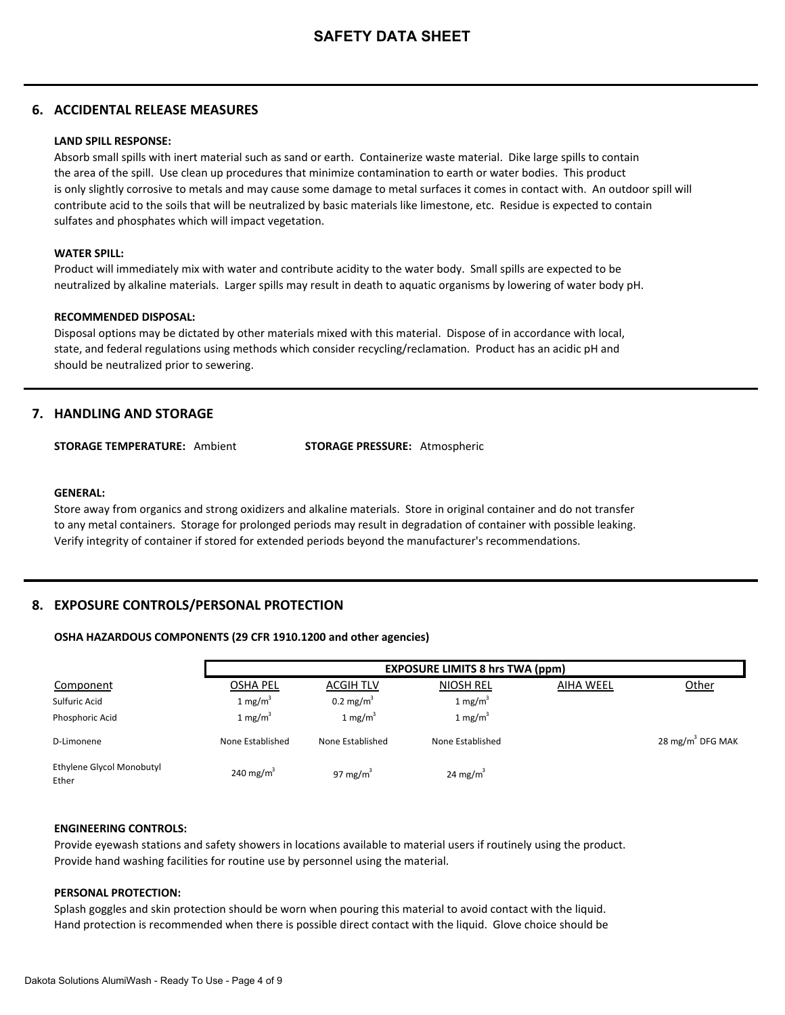### **6. ACCIDENTAL RELEASE MEASURES**

#### **LAND SPILL RESPONSE:**

Absorb small spills with inert material such as sand or earth. Containerize waste material. Dike large spills to contain the area of the spill. Use clean up procedures that minimize contamination to earth or water bodies. This product is only slightly corrosive to metals and may cause some damage to metal surfaces it comes in contact with. An outdoor spill will contribute acid to the soils that will be neutralized by basic materials like limestone, etc. Residue is expected to contain sulfates and phosphates which will impact vegetation.

#### **WATER SPILL:**

Product will immediately mix with water and contribute acidity to the water body. Small spills are expected to be neutralized by alkaline materials. Larger spills may result in death to aquatic organisms by lowering of water body pH.

#### **RECOMMENDED DISPOSAL:**

Disposal options may be dictated by other materials mixed with this material. Dispose of in accordance with local, state, and federal regulations using methods which consider recycling/reclamation. Product has an acidic pH and should be neutralized prior to sewering.

### **7. HANDLING AND STORAGE**

**STORAGE TEMPERATURE:** Ambient **STORAGE PRESSURE:** Atmospheric

#### **GENERAL:**

Store away from organics and strong oxidizers and alkaline materials. Store in original container and do not transfer to any metal containers. Storage for prolonged periods may result in degradation of container with possible leaking. Verify integrity of container if stored for extended periods beyond the manufacturer's recommendations.

### **8. EXPOSURE CONTROLS/PERSONAL PROTECTION**

#### **OSHA HAZARDOUS COMPONENTS (29 CFR 1910.1200 and other agencies)**

|                                    |                       |                      | <b>EXPOSURE LIMITS 8 hrs TWA (ppm)</b> |                  |                     |
|------------------------------------|-----------------------|----------------------|----------------------------------------|------------------|---------------------|
| Component                          | <b>OSHA PEL</b>       | <b>ACGIH TLV</b>     | <b>NIOSH REL</b>                       | <b>AIHA WEEL</b> | Other               |
| Sulfuric Acid                      | 1 mg/m <sup>3</sup>   | $0.2 \text{ mg/m}^3$ | 1 mg/m <sup>3</sup>                    |                  |                     |
| Phosphoric Acid                    | 1 mg/m <sup>3</sup>   | 1 mg/m <sup>3</sup>  | 1 mg/m <sup>3</sup>                    |                  |                     |
| D-Limonene                         | None Established      | None Established     | None Established                       |                  | 28 mg/m $3$ DFG MAK |
| Ethylene Glycol Monobutyl<br>Ether | 240 mg/m <sup>3</sup> | 97 mg/m $3$          | 24 mg/m <sup>3</sup>                   |                  |                     |

#### **ENGINEERING CONTROLS:**

Provide eyewash stations and safety showers in locations available to material users if routinely using the product. Provide hand washing facilities for routine use by personnel using the material.

#### **PERSONAL PROTECTION:**

Splash goggles and skin protection should be worn when pouring this material to avoid contact with the liquid. Hand protection is recommended when there is possible direct contact with the liquid. Glove choice should be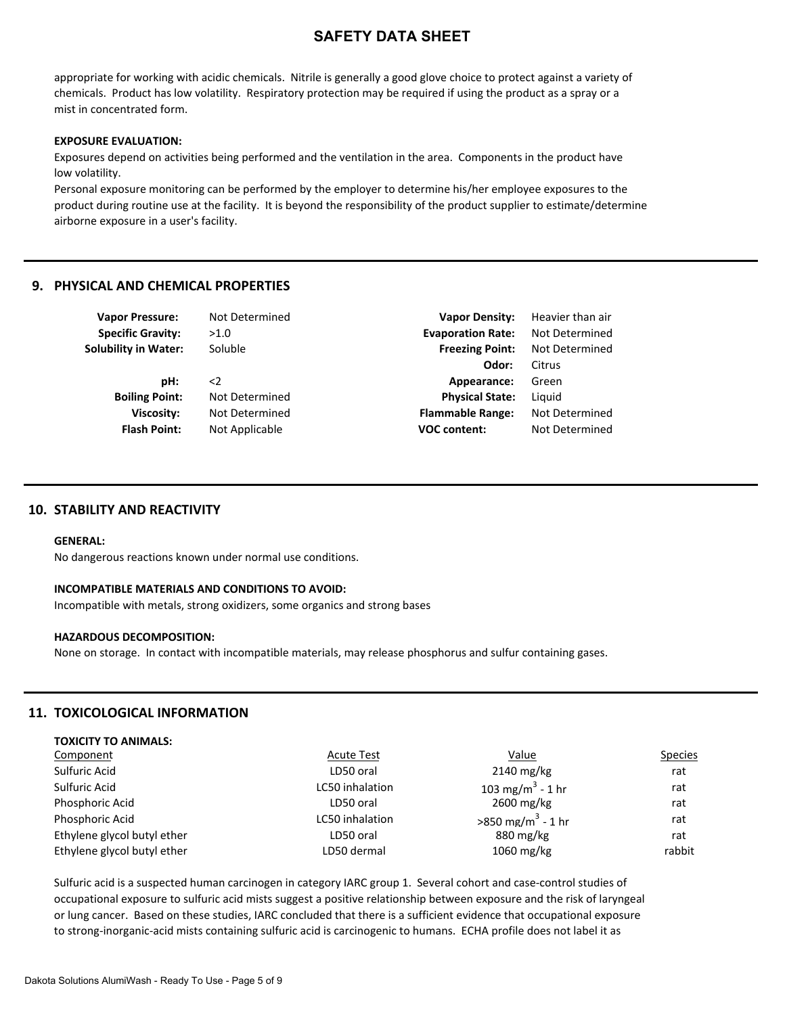appropriate for working with acidic chemicals. Nitrile is generally a good glove choice to protect against a variety of chemicals. Product has low volatility. Respiratory protection may be required if using the product as a spray or a mist in concentrated form.

#### **EXPOSURE EVALUATION:**

Exposures depend on activities being performed and the ventilation in the area. Components in the product have low volatility.

Personal exposure monitoring can be performed by the employer to determine his/her employee exposures to the product during routine use at the facility. It is beyond the responsibility of the product supplier to estimate/determine airborne exposure in a user's facility.

### **9. PHYSICAL AND CHEMICAL PROPERTIES**

| <b>Vapor Pressure:</b>      | Not Determined | <b>Vapor Density:</b>    | Heavier than air |
|-----------------------------|----------------|--------------------------|------------------|
| <b>Specific Gravity:</b>    | >1.0           | <b>Evaporation Rate:</b> | Not Determined   |
| <b>Solubility in Water:</b> | Soluble        | <b>Freezing Point:</b>   | Not Determined   |
|                             |                | Odor:                    | Citrus           |
| pH:                         | $\leq$         | Appearance:              | Green            |
| <b>Boiling Point:</b>       | Not Determined | <b>Physical State:</b>   | Liguid           |
| <b>Viscosity:</b>           | Not Determined | <b>Flammable Range:</b>  | Not Determined   |
| <b>Flash Point:</b>         | Not Applicable | <b>VOC content:</b>      | Not Determined   |
|                             |                |                          |                  |

### **10. STABILITY AND REACTIVITY**

#### **GENERAL:**

No dangerous reactions known under normal use conditions.

#### **INCOMPATIBLE MATERIALS AND CONDITIONS TO AVOID:**

Incompatible with metals, strong oxidizers, some organics and strong bases

#### **HAZARDOUS DECOMPOSITION:**

None on storage. In contact with incompatible materials, may release phosphorus and sulfur containing gases.

### **11. TOXICOLOGICAL INFORMATION**

**TOXICITY TO ANIMALS:**

| Component                   | <b>Acute Test</b> | <u>Value</u>                         | <b>Species</b> |
|-----------------------------|-------------------|--------------------------------------|----------------|
| Sulfuric Acid               | LD50 oral         | $2140$ mg/kg                         | rat            |
| Sulfuric Acid               | LC50 inhalation   | 103 mg/m <sup>3</sup> - 1 hr         | rat            |
| Phosphoric Acid             | LD50 oral         | 2600 mg/kg                           | rat            |
| Phosphoric Acid             | LC50 inhalation   | $>850 \text{ mg/m}^3 - 1 \text{ hr}$ | rat            |
| Ethylene glycol butyl ether | LD50 oral         | 880 mg/kg                            | rat            |
| Ethylene glycol butyl ether | LD50 dermal       | $1060$ mg/kg                         | rabbit         |
|                             |                   |                                      |                |

Sulfuric acid is a suspected human carcinogen in category IARC group 1. Several cohort and case-control studies of occupational exposure to sulfuric acid mists suggest a positive relationship between exposure and the risk of laryngeal or lung cancer. Based on these studies, IARC concluded that there is a sufficient evidence that occupational exposure to strong-inorganic-acid mists containing sulfuric acid is carcinogenic to humans. ECHA profile does not label it as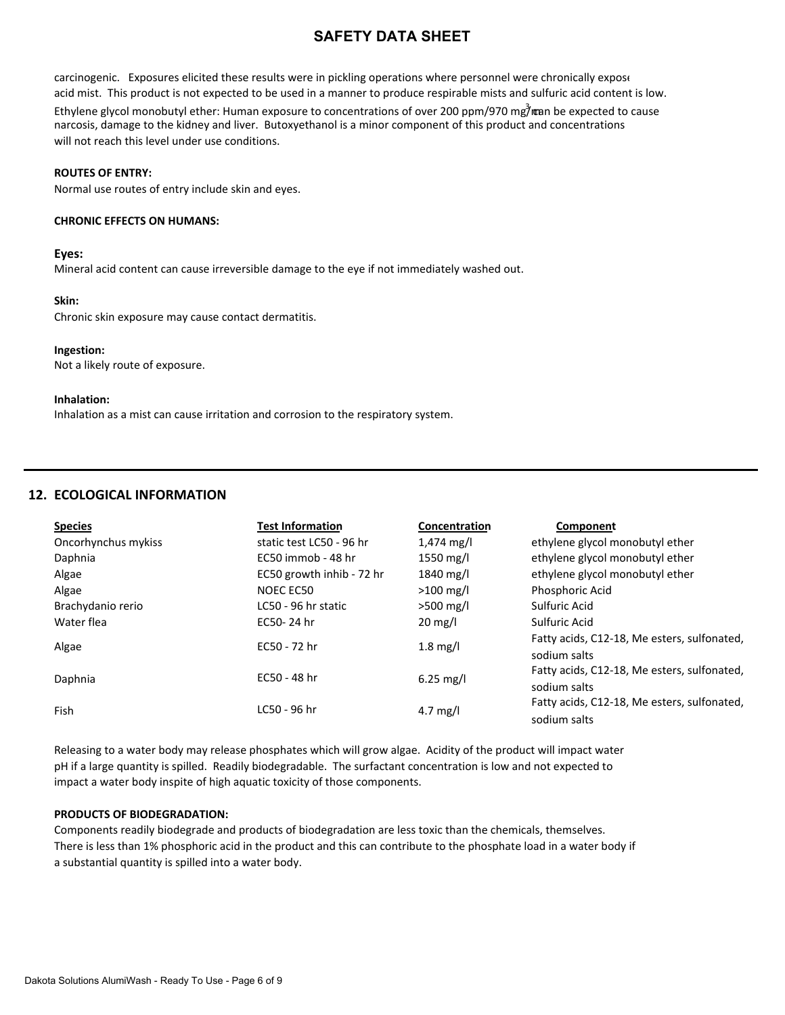carcinogenic. Exposures elicited these results were in pickling operations where personnel were chronically expose acid mist. This product is not expected to be used in a manner to produce respirable mists and sulfuric acid content is low.

Ethylene glycol monobutyl ether: Human exposure to concentrations of over 200 ppm/970 mg7<sup>3</sup> man be expected to cause narcosis, damage to the kidney and liver. Butoxyethanol is a minor component of this product and concentrations will not reach this level under use conditions.

### **ROUTES OF ENTRY:**

Normal use routes of entry include skin and eyes.

### **CHRONIC EFFECTS ON HUMANS:**

### **Eyes:**

Mineral acid content can cause irreversible damage to the eye if not immediately washed out.

### **Skin:**

Chronic skin exposure may cause contact dermatitis.

### **Ingestion:**

Not a likely route of exposure.

### **Inhalation:**

Inhalation as a mist can cause irritation and corrosion to the respiratory system.

## **12. ECOLOGICAL INFORMATION**

| <b>Species</b>      | Test Information          | Concentration        | Component                                   |
|---------------------|---------------------------|----------------------|---------------------------------------------|
| Oncorhynchus mykiss | static test LC50 - 96 hr  | $1,474 \text{ mg/l}$ | ethylene glycol monobutyl ether             |
| Daphnia             | EC50 immob - 48 hr        | 1550 mg/l            | ethylene glycol monobutyl ether             |
| Algae               | EC50 growth inhib - 72 hr | 1840 mg/l            | ethylene glycol monobutyl ether             |
| Algae               | NOEC EC50                 | $>100$ mg/l          | Phosphoric Acid                             |
| Brachydanio rerio   | LC50 - 96 hr static       | $>500$ mg/l          | Sulfuric Acid                               |
| Water flea          | EC50-24 hr                | $20 \text{ mg/l}$    | Sulfuric Acid                               |
| Algae               | EC50 - 72 hr              | $1.8 \text{ mg/l}$   | Fatty acids, C12-18, Me esters, sulfonated, |
|                     |                           |                      | sodium salts                                |
| Daphnia             | EC50 - 48 hr              | $6.25$ mg/l          | Fatty acids, C12-18, Me esters, sulfonated, |
|                     |                           |                      | sodium salts                                |
| Fish                | LC50 - 96 hr              | 4.7 mg/l             | Fatty acids, C12-18, Me esters, sulfonated, |
|                     |                           |                      | sodium salts                                |

Releasing to a water body may release phosphates which will grow algae. Acidity of the product will impact water pH if a large quantity is spilled. Readily biodegradable. The surfactant concentration is low and not expected to impact a water body inspite of high aquatic toxicity of those components.

### **PRODUCTS OF BIODEGRADATION:**

Components readily biodegrade and products of biodegradation are less toxic than the chemicals, themselves. There is less than 1% phosphoric acid in the product and this can contribute to the phosphate load in a water body if a substantial quantity is spilled into a water body.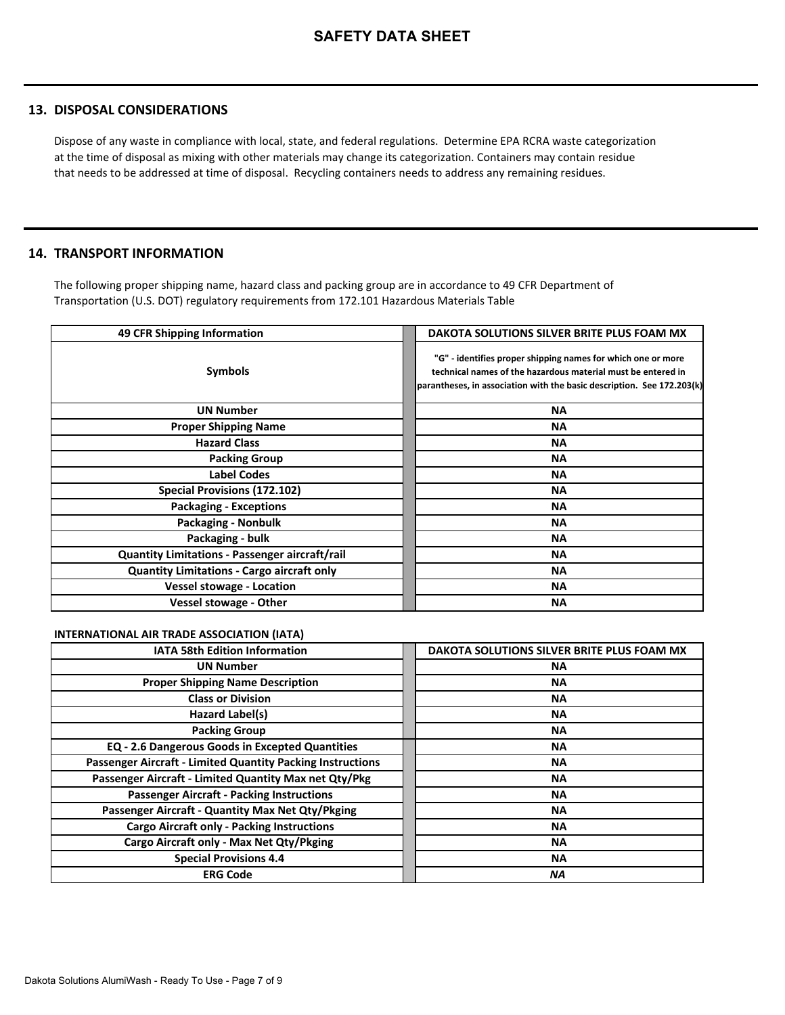### **13. DISPOSAL CONSIDERATIONS**

Dispose of any waste in compliance with local, state, and federal regulations. Determine EPA RCRA waste categorization at the time of disposal as mixing with other materials may change its categorization. Containers may contain residue that needs to be addressed at time of disposal. Recycling containers needs to address any remaining residues.

### **14. TRANSPORT INFORMATION**

The following proper shipping name, hazard class and packing group are in accordance to 49 CFR Department of Transportation (U.S. DOT) regulatory requirements from 172.101 Hazardous Materials Table

| 49 CFR Shipping Information                       | DAKOTA SOLUTIONS SILVER BRITE PLUS FOAM MX                                                                                                                                                             |
|---------------------------------------------------|--------------------------------------------------------------------------------------------------------------------------------------------------------------------------------------------------------|
| <b>Symbols</b>                                    | "G" - identifies proper shipping names for which one or more<br>technical names of the hazardous material must be entered in<br>parantheses, in association with the basic description. See 172.203(k) |
| <b>UN Number</b>                                  | ΝA                                                                                                                                                                                                     |
| <b>Proper Shipping Name</b>                       | ΝA                                                                                                                                                                                                     |
| <b>Hazard Class</b>                               | ΝA                                                                                                                                                                                                     |
| <b>Packing Group</b>                              | <b>NA</b>                                                                                                                                                                                              |
| <b>Label Codes</b>                                | <b>NA</b>                                                                                                                                                                                              |
| Special Provisions (172.102)                      | ΝA                                                                                                                                                                                                     |
| <b>Packaging - Exceptions</b>                     | ΝA                                                                                                                                                                                                     |
| <b>Packaging - Nonbulk</b>                        | <b>NA</b>                                                                                                                                                                                              |
| Packaging - bulk                                  | ΝA                                                                                                                                                                                                     |
| Quantity Limitations - Passenger aircraft/rail    | ΝA                                                                                                                                                                                                     |
| <b>Quantity Limitations - Cargo aircraft only</b> | <b>NA</b>                                                                                                                                                                                              |
| <b>Vessel stowage - Location</b>                  | <b>NA</b>                                                                                                                                                                                              |
| <b>Vessel stowage - Other</b>                     | <b>NA</b>                                                                                                                                                                                              |

### **INTERNATIONAL AIR TRADE ASSOCIATION (IATA)**

| <b>IATA 58th Edition Information</b>                       | DAKOTA SOLUTIONS SILVER BRITE PLUS FOAM MX |
|------------------------------------------------------------|--------------------------------------------|
| <b>UN Number</b>                                           | <b>NA</b>                                  |
| <b>Proper Shipping Name Description</b>                    | <b>NA</b>                                  |
| <b>Class or Division</b>                                   | ΝA                                         |
| Hazard Label(s)                                            | <b>NA</b>                                  |
| <b>Packing Group</b>                                       | ΝA                                         |
| <b>EQ - 2.6 Dangerous Goods in Excepted Quantities</b>     | <b>NA</b>                                  |
| Passenger Aircraft - Limited Quantity Packing Instructions | ΝA                                         |
| Passenger Aircraft - Limited Quantity Max net Qty/Pkg      | <b>NA</b>                                  |
| <b>Passenger Aircraft - Packing Instructions</b>           | ΝA                                         |
| Passenger Aircraft - Quantity Max Net Qty/Pkging           | <b>NA</b>                                  |
| <b>Cargo Aircraft only - Packing Instructions</b>          | ΝA                                         |
| Cargo Aircraft only - Max Net Qty/Pkging                   | ΝA                                         |
| <b>Special Provisions 4.4</b>                              | ΝA                                         |
| <b>ERG Code</b>                                            | ΝA                                         |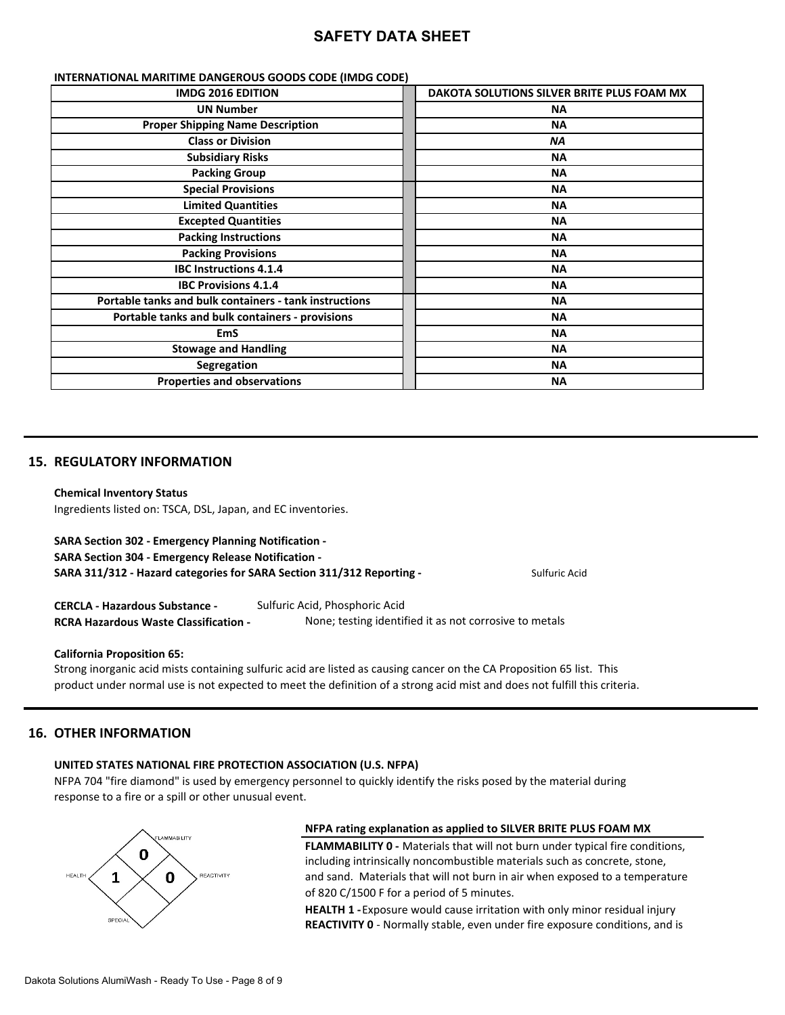| <b>IMDG 2016 EDITION</b>                               | DAKOTA SOLUTIONS SILVER BRITE PLUS FOAM MX |
|--------------------------------------------------------|--------------------------------------------|
| <b>UN Number</b>                                       | ΝA                                         |
| <b>Proper Shipping Name Description</b>                | <b>NA</b>                                  |
| <b>Class or Division</b>                               | ΝA                                         |
| <b>Subsidiary Risks</b>                                | <b>NA</b>                                  |
| <b>Packing Group</b>                                   | ΝA                                         |
| <b>Special Provisions</b>                              | <b>NA</b>                                  |
| <b>Limited Quantities</b>                              | <b>NA</b>                                  |
| <b>Excepted Quantities</b>                             | <b>NA</b>                                  |
| <b>Packing Instructions</b>                            | ΝA                                         |
| <b>Packing Provisions</b>                              | <b>NA</b>                                  |
| <b>IBC Instructions 4.1.4</b>                          | <b>NA</b>                                  |
| <b>IBC Provisions 4.1.4</b>                            | <b>NA</b>                                  |
| Portable tanks and bulk containers - tank instructions | <b>NA</b>                                  |
| Portable tanks and bulk containers - provisions        | <b>NA</b>                                  |
| <b>EmS</b>                                             | <b>NA</b>                                  |
| <b>Stowage and Handling</b>                            | <b>NA</b>                                  |
| <b>Segregation</b>                                     | <b>NA</b>                                  |
| <b>Properties and observations</b>                     | ΝA                                         |

#### **INTERNATIONAL MARITIME DANGEROUS GOODS CODE (IMDG CODE)**

### **15. REGULATORY INFORMATION**

#### **Chemical Inventory Status**

Ingredients listed on: TSCA, DSL, Japan, and EC inventories.

|  | <b>SARA Section 302 - Emergency Planning Notification -</b> |  |
|--|-------------------------------------------------------------|--|
|--|-------------------------------------------------------------|--|

**SARA Section 304 - Emergency Release Notification -** 

**SARA 311/312 - Hazard categories for SARA Section 311/312 Reporting -** Sulfuric Acid

**CERCLA - Hazardous Substance -** Sulfuric Acid, Phosphoric Acid **RCRA Hazardous Waste Classification -** None; testing identified it as not corrosive to metals

#### **California Proposition 65:**

Strong inorganic acid mists containing sulfuric acid are listed as causing cancer on the CA Proposition 65 list. This product under normal use is not expected to meet the definition of a strong acid mist and does not fulfill this criteria.

### **16. OTHER INFORMATION**

### **UNITED STATES NATIONAL FIRE PROTECTION ASSOCIATION (U.S. NFPA)**

NFPA 704 "fire diamond" is used by emergency personnel to quickly identify the risks posed by the material during response to a fire or a spill or other unusual event.



#### **NFPA rating explanation as applied to SILVER BRITE PLUS FOAM MX**

**FLAMMABILITY 0 -** Materials that will not burn under typical fire conditions, including intrinsically noncombustible materials such as concrete, stone, and sand. Materials that will not burn in air when exposed to a temperature of 820 C/1500 F for a period of 5 minutes.

**HEALTH 1 -** Exposure would cause irritation with only minor residual injury **REACTIVITY 0** - Normally stable, even under fire exposure conditions, and is